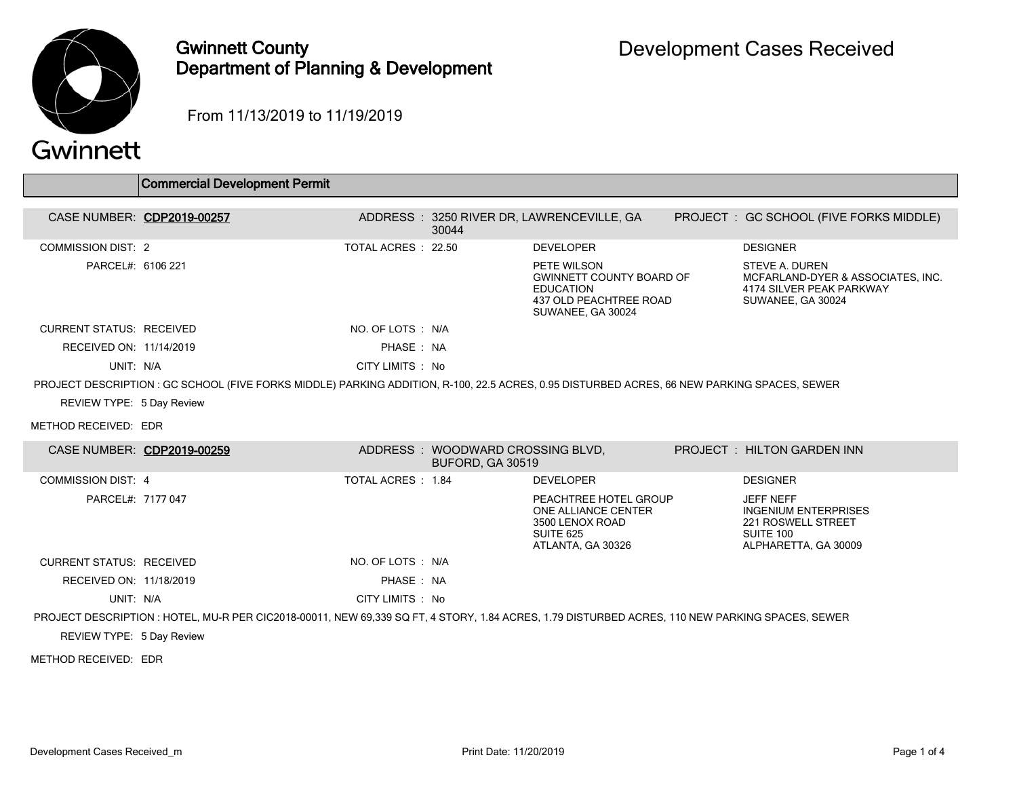

## Gwinnett County Department of Planning & Development

From 11/13/2019 to 11/19/2019

|                                 | <b>Commercial Development Permit</b>                                                                                                            |                    |                                                             |                                                                                                                   |                                                                                                            |
|---------------------------------|-------------------------------------------------------------------------------------------------------------------------------------------------|--------------------|-------------------------------------------------------------|-------------------------------------------------------------------------------------------------------------------|------------------------------------------------------------------------------------------------------------|
|                                 | CASE NUMBER: CDP2019-00257                                                                                                                      |                    | 30044                                                       | ADDRESS: 3250 RIVER DR, LAWRENCEVILLE, GA                                                                         | PROJECT: GC SCHOOL (FIVE FORKS MIDDLE)                                                                     |
| <b>COMMISSION DIST: 2</b>       |                                                                                                                                                 | TOTAL ACRES: 22.50 |                                                             | <b>DEVELOPER</b>                                                                                                  | <b>DESIGNER</b>                                                                                            |
| PARCEL#: 6106 221               |                                                                                                                                                 |                    |                                                             | PETE WILSON<br><b>GWINNETT COUNTY BOARD OF</b><br><b>EDUCATION</b><br>437 OLD PEACHTREE ROAD<br>SUWANEE, GA 30024 | STEVE A. DUREN<br>MCFARLAND-DYER & ASSOCIATES, INC.<br>4174 SILVER PEAK PARKWAY<br>SUWANEE, GA 30024       |
| <b>CURRENT STATUS: RECEIVED</b> |                                                                                                                                                 | NO. OF LOTS : N/A  |                                                             |                                                                                                                   |                                                                                                            |
| RECEIVED ON: 11/14/2019         |                                                                                                                                                 | PHASE: NA          |                                                             |                                                                                                                   |                                                                                                            |
| UNIT: N/A                       |                                                                                                                                                 | CITY LIMITS : No   |                                                             |                                                                                                                   |                                                                                                            |
|                                 | PROJECT DESCRIPTION : GC SCHOOL (FIVE FORKS MIDDLE) PARKING ADDITION, R-100, 22.5 ACRES, 0.95 DISTURBED ACRES, 66 NEW PARKING SPACES, SEWER     |                    |                                                             |                                                                                                                   |                                                                                                            |
| REVIEW TYPE: 5 Day Review       |                                                                                                                                                 |                    |                                                             |                                                                                                                   |                                                                                                            |
| METHOD RECEIVED: EDR            |                                                                                                                                                 |                    |                                                             |                                                                                                                   |                                                                                                            |
|                                 | CASE NUMBER: CDP2019-00259                                                                                                                      |                    | ADDRESS: WOODWARD CROSSING BLVD,<br><b>BUFORD, GA 30519</b> |                                                                                                                   | <b>PROJECT : HILTON GARDEN INN</b>                                                                         |
| <b>COMMISSION DIST: 4</b>       |                                                                                                                                                 | TOTAL ACRES: 1.84  |                                                             | <b>DEVELOPER</b>                                                                                                  | <b>DESIGNER</b>                                                                                            |
| PARCEL#: 7177 047               |                                                                                                                                                 |                    |                                                             | PEACHTREE HOTEL GROUP<br>ONE ALLIANCE CENTER<br>3500 LENOX ROAD<br><b>SUITE 625</b><br>ATLANTA, GA 30326          | <b>JEFF NEFF</b><br><b>INGENIUM ENTERPRISES</b><br>221 ROSWELL STREET<br>SUITE 100<br>ALPHARETTA, GA 30009 |
| <b>CURRENT STATUS: RECEIVED</b> |                                                                                                                                                 | NO. OF LOTS : N/A  |                                                             |                                                                                                                   |                                                                                                            |
| RECEIVED ON: 11/18/2019         |                                                                                                                                                 | PHASE: NA          |                                                             |                                                                                                                   |                                                                                                            |
| UNIT: N/A                       |                                                                                                                                                 | CITY LIMITS : No   |                                                             |                                                                                                                   |                                                                                                            |
|                                 | PROJECT DESCRIPTION : HOTEL, MU-R PER CIC2018-00011, NEW 69,339 SQ FT, 4 STORY, 1.84 ACRES, 1.79 DISTURBED ACRES, 110 NEW PARKING SPACES, SEWER |                    |                                                             |                                                                                                                   |                                                                                                            |
| REVIEW TYPE: 5 Day Review       |                                                                                                                                                 |                    |                                                             |                                                                                                                   |                                                                                                            |
| METHOD RECEIVED: EDR            |                                                                                                                                                 |                    |                                                             |                                                                                                                   |                                                                                                            |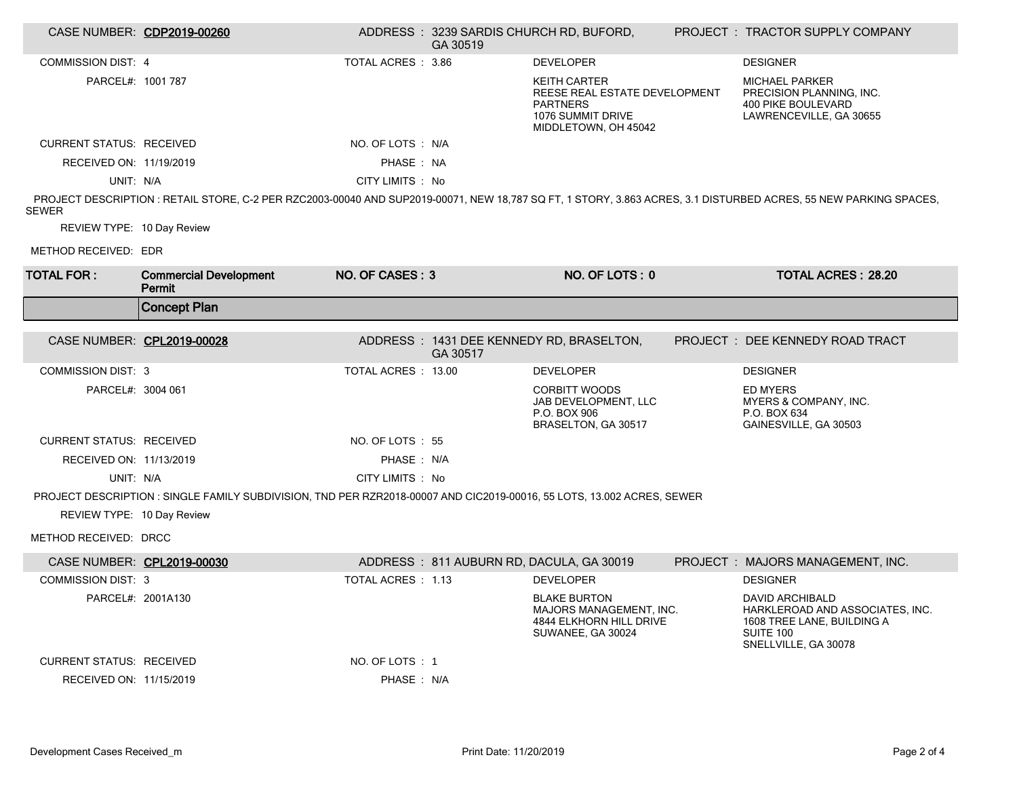|                                 | CASE NUMBER: CDP2019-00260                                                                                             |                    | GA 30519 | ADDRESS: 3239 SARDIS CHURCH RD, BUFORD,                                                                              | PROJECT: TRACTOR SUPPLY COMPANY                                                                                                                                  |
|---------------------------------|------------------------------------------------------------------------------------------------------------------------|--------------------|----------|----------------------------------------------------------------------------------------------------------------------|------------------------------------------------------------------------------------------------------------------------------------------------------------------|
| <b>COMMISSION DIST: 4</b>       |                                                                                                                        | TOTAL ACRES : 3.86 |          | <b>DEVELOPER</b>                                                                                                     | <b>DESIGNER</b>                                                                                                                                                  |
| PARCEL#: 1001 787               |                                                                                                                        |                    |          | <b>KEITH CARTER</b><br>REESE REAL ESTATE DEVELOPMENT<br><b>PARTNERS</b><br>1076 SUMMIT DRIVE<br>MIDDLETOWN, OH 45042 | <b>MICHAEL PARKER</b><br>PRECISION PLANNING, INC.<br>400 PIKE BOULEVARD<br>LAWRENCEVILLE, GA 30655                                                               |
| <b>CURRENT STATUS: RECEIVED</b> |                                                                                                                        | NO. OF LOTS : N/A  |          |                                                                                                                      |                                                                                                                                                                  |
| RECEIVED ON: 11/19/2019         |                                                                                                                        | PHASE: NA          |          |                                                                                                                      |                                                                                                                                                                  |
| UNIT: N/A                       |                                                                                                                        | CITY LIMITS : No   |          |                                                                                                                      |                                                                                                                                                                  |
| <b>SEWER</b>                    |                                                                                                                        |                    |          |                                                                                                                      | PROJECT DESCRIPTION : RETAIL STORE, C-2 PER RZC2003-00040 AND SUP2019-00071, NEW 18,787 SQ FT, 1 STORY, 3.863 ACRES, 3.1 DISTURBED ACRES, 55 NEW PARKING SPACES, |
| REVIEW TYPE: 10 Day Review      |                                                                                                                        |                    |          |                                                                                                                      |                                                                                                                                                                  |
| METHOD RECEIVED: EDR            |                                                                                                                        |                    |          |                                                                                                                      |                                                                                                                                                                  |
| <b>TOTAL FOR:</b>               | <b>Commercial Development</b><br>Permit                                                                                | NO. OF CASES: 3    |          | NO. OF LOTS: 0                                                                                                       | <b>TOTAL ACRES: 28.20</b>                                                                                                                                        |
|                                 | <b>Concept Plan</b>                                                                                                    |                    |          |                                                                                                                      |                                                                                                                                                                  |
|                                 |                                                                                                                        |                    |          |                                                                                                                      |                                                                                                                                                                  |
| CASE NUMBER: CPL2019-00028      |                                                                                                                        |                    | GA 30517 | ADDRESS : 1431 DEE KENNEDY RD, BRASELTON,                                                                            | PROJECT : DEE KENNEDY ROAD TRACT                                                                                                                                 |
|                                 |                                                                                                                        |                    |          |                                                                                                                      |                                                                                                                                                                  |
| <b>COMMISSION DIST: 3</b>       |                                                                                                                        | TOTAL ACRES: 13.00 |          | <b>DEVELOPER</b>                                                                                                     | <b>DESIGNER</b>                                                                                                                                                  |
| PARCEL#: 3004 061               |                                                                                                                        |                    |          | <b>CORBITT WOODS</b><br>JAB DEVELOPMENT, LLC<br>P.O. BOX 906<br>BRASELTON, GA 30517                                  | <b>ED MYERS</b><br>MYERS & COMPANY, INC.<br>P.O. BOX 634<br>GAINESVILLE, GA 30503                                                                                |
| <b>CURRENT STATUS: RECEIVED</b> |                                                                                                                        | NO. OF LOTS : 55   |          |                                                                                                                      |                                                                                                                                                                  |
| RECEIVED ON: 11/13/2019         |                                                                                                                        | PHASE: N/A         |          |                                                                                                                      |                                                                                                                                                                  |
| UNIT: N/A                       |                                                                                                                        | CITY LIMITS : No   |          |                                                                                                                      |                                                                                                                                                                  |
|                                 | PROJECT DESCRIPTION : SINGLE FAMILY SUBDIVISION, TND PER RZR2018-00007 AND CIC2019-00016, 55 LOTS, 13.002 ACRES, SEWER |                    |          |                                                                                                                      |                                                                                                                                                                  |
| REVIEW TYPE: 10 Day Review      |                                                                                                                        |                    |          |                                                                                                                      |                                                                                                                                                                  |
| METHOD RECEIVED: DRCC           |                                                                                                                        |                    |          |                                                                                                                      |                                                                                                                                                                  |
| CASE NUMBER: CPL2019-00030      |                                                                                                                        |                    |          | ADDRESS: 811 AUBURN RD, DACULA, GA 30019                                                                             | PROJECT : MAJORS MANAGEMENT, INC.                                                                                                                                |
| <b>COMMISSION DIST: 3</b>       |                                                                                                                        | TOTAL ACRES : 1.13 |          | <b>DEVELOPER</b>                                                                                                     | <b>DESIGNER</b>                                                                                                                                                  |
| PARCEL#: 2001A130               |                                                                                                                        |                    |          | <b>BLAKE BURTON</b><br><b>MAJORS MANAGEMENT. INC.</b><br>4844 ELKHORN HILL DRIVE<br>SUWANEE, GA 30024                | <b>DAVID ARCHIBALD</b><br>HARKLEROAD AND ASSOCIATES, INC.<br>1608 TREE LANE, BUILDING A<br><b>SUITE 100</b><br>SNELLVILLE, GA 30078                              |
| <b>CURRENT STATUS: RECEIVED</b> |                                                                                                                        | NO. OF LOTS: 1     |          |                                                                                                                      |                                                                                                                                                                  |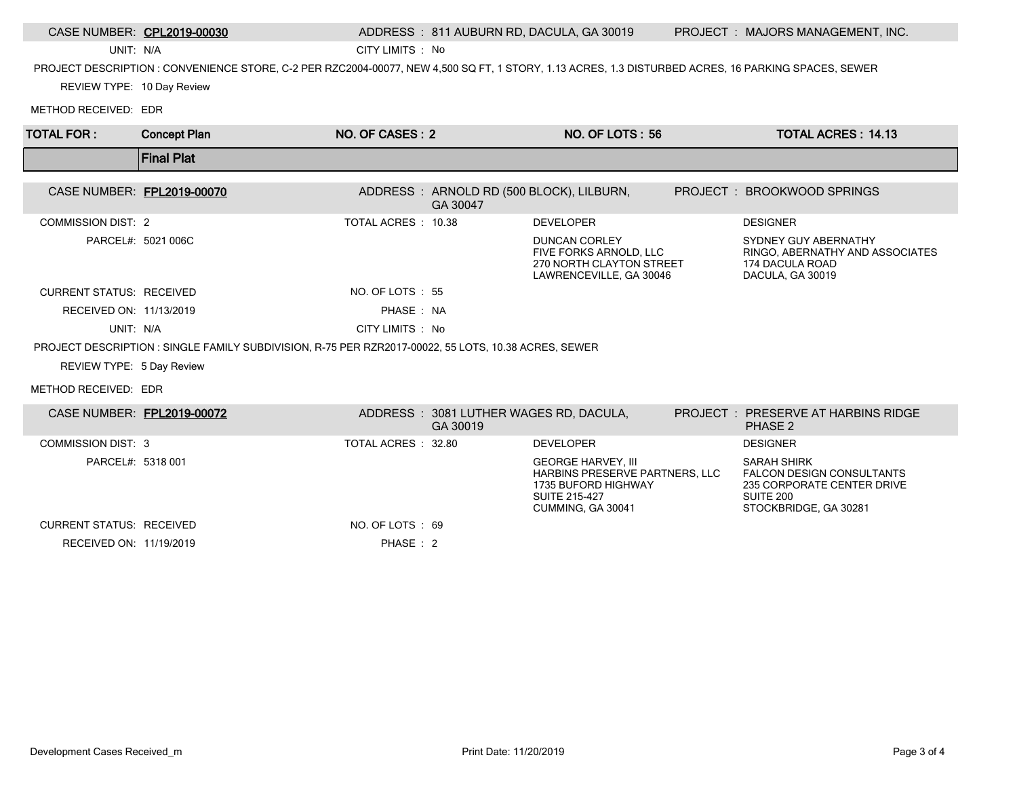|                                 | CASE NUMBER: CPL2019-00030                                                                                                                          |                     |                                                    | ADDRESS: 811 AUBURN RD, DACULA, GA 30019                                                                                               | PROJECT : MAJORS MANAGEMENT, INC.                                                                                          |
|---------------------------------|-----------------------------------------------------------------------------------------------------------------------------------------------------|---------------------|----------------------------------------------------|----------------------------------------------------------------------------------------------------------------------------------------|----------------------------------------------------------------------------------------------------------------------------|
| UNIT: N/A                       |                                                                                                                                                     | CITY LIMITS : No    |                                                    |                                                                                                                                        |                                                                                                                            |
|                                 | PROJECT DESCRIPTION : CONVENIENCE STORE, C-2 PER RZC2004-00077, NEW 4,500 SQ FT, 1 STORY, 1.13 ACRES, 1.3 DISTURBED ACRES, 16 PARKING SPACES, SEWER |                     |                                                    |                                                                                                                                        |                                                                                                                            |
| REVIEW TYPE: 10 Day Review      |                                                                                                                                                     |                     |                                                    |                                                                                                                                        |                                                                                                                            |
| METHOD RECEIVED: EDR            |                                                                                                                                                     |                     |                                                    |                                                                                                                                        |                                                                                                                            |
| <b>TOTAL FOR:</b>               | <b>Concept Plan</b>                                                                                                                                 | NO. OF CASES: 2     |                                                    | NO. OF LOTS: 56                                                                                                                        | <b>TOTAL ACRES: 14.13</b>                                                                                                  |
|                                 | <b>Final Plat</b>                                                                                                                                   |                     |                                                    |                                                                                                                                        |                                                                                                                            |
| CASE NUMBER: FPL2019-00070      |                                                                                                                                                     |                     | GA 30047                                           | ADDRESS: ARNOLD RD (500 BLOCK), LILBURN,                                                                                               | PROJECT : BROOKWOOD SPRINGS                                                                                                |
| <b>COMMISSION DIST: 2</b>       |                                                                                                                                                     | TOTAL ACRES: 10.38  |                                                    | <b>DEVELOPER</b>                                                                                                                       | <b>DESIGNER</b>                                                                                                            |
|                                 | PARCEL#: 5021 006C                                                                                                                                  |                     |                                                    | <b>DUNCAN CORLEY</b><br>FIVE FORKS ARNOLD, LLC<br>270 NORTH CLAYTON STREET<br>LAWRENCEVILLE, GA 30046                                  | SYDNEY GUY ABERNATHY<br>RINGO, ABERNATHY AND ASSOCIATES<br>174 DACULA ROAD<br>DACULA, GA 30019                             |
| <b>CURRENT STATUS: RECEIVED</b> |                                                                                                                                                     | NO. OF LOTS: 55     |                                                    |                                                                                                                                        |                                                                                                                            |
| RECEIVED ON: 11/13/2019         |                                                                                                                                                     | PHASE: NA           |                                                    |                                                                                                                                        |                                                                                                                            |
| UNIT: N/A                       |                                                                                                                                                     | CITY LIMITS : No    |                                                    |                                                                                                                                        |                                                                                                                            |
|                                 | PROJECT DESCRIPTION : SINGLE FAMILY SUBDIVISION, R-75 PER RZR2017-00022, 55 LOTS, 10.38 ACRES, SEWER                                                |                     |                                                    |                                                                                                                                        |                                                                                                                            |
| REVIEW TYPE: 5 Day Review       |                                                                                                                                                     |                     |                                                    |                                                                                                                                        |                                                                                                                            |
| METHOD RECEIVED: EDR            |                                                                                                                                                     |                     |                                                    |                                                                                                                                        |                                                                                                                            |
| CASE NUMBER: FPL2019-00072      |                                                                                                                                                     |                     | ADDRESS: 3081 LUTHER WAGES RD, DACULA,<br>GA 30019 |                                                                                                                                        | <b>PROJECT : PRESERVE AT HARBINS RIDGE</b><br>PHASE 2                                                                      |
| <b>COMMISSION DIST: 3</b>       |                                                                                                                                                     | TOTAL ACRES : 32.80 |                                                    | <b>DEVELOPER</b>                                                                                                                       | <b>DESIGNER</b>                                                                                                            |
| PARCEL#: 5318 001               |                                                                                                                                                     |                     |                                                    | <b>GEORGE HARVEY, III</b><br><b>HARBINS PRESERVE PARTNERS, LLC</b><br>1735 BUFORD HIGHWAY<br><b>SUITE 215-427</b><br>CUMMING, GA 30041 | <b>SARAH SHIRK</b><br><b>FALCON DESIGN CONSULTANTS</b><br>235 CORPORATE CENTER DRIVE<br>SUITE 200<br>STOCKBRIDGE, GA 30281 |
| <b>CURRENT STATUS: RECEIVED</b> |                                                                                                                                                     | NO. OF LOTS: 69     |                                                    |                                                                                                                                        |                                                                                                                            |

RECEIVED ON: 11/19/2019 PHASE : 2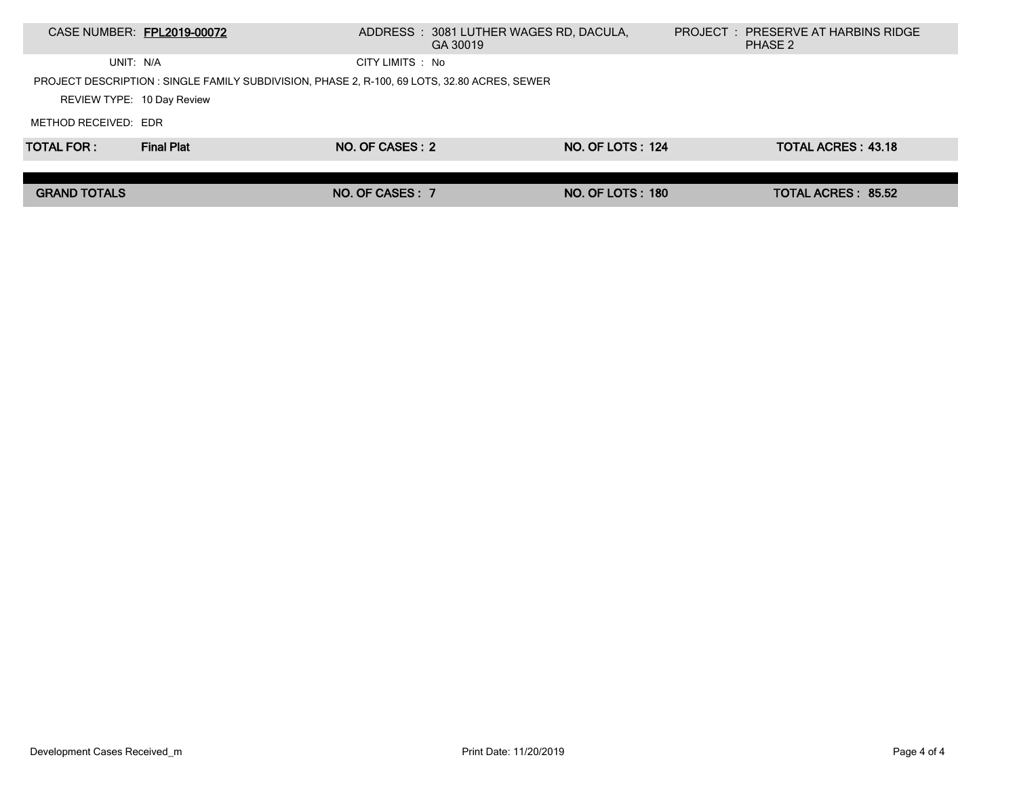|                            | CASE NUMBER: FPL2019-00072                                                                   |                  | ADDRESS: 3081 LUTHER WAGES RD, DACULA,<br>GA 30019 |                         | <b>PROJECT : PRESERVE AT HARBINS RIDGE</b><br>PHASE 2 |  |
|----------------------------|----------------------------------------------------------------------------------------------|------------------|----------------------------------------------------|-------------------------|-------------------------------------------------------|--|
| UNIT: N/A                  |                                                                                              | CITY LIMITS : No |                                                    |                         |                                                       |  |
|                            | PROJECT DESCRIPTION : SINGLE FAMILY SUBDIVISION, PHASE 2, R-100, 69 LOTS, 32.80 ACRES, SEWER |                  |                                                    |                         |                                                       |  |
| REVIEW TYPE: 10 Day Review |                                                                                              |                  |                                                    |                         |                                                       |  |
| METHOD RECEIVED: EDR       |                                                                                              |                  |                                                    |                         |                                                       |  |
| <b>TOTAL FOR :</b>         | <b>Final Plat</b>                                                                            | NO. OF CASES : 2 |                                                    | <b>NO. OF LOTS: 124</b> | <b>TOTAL ACRES: 43.18</b>                             |  |
|                            |                                                                                              |                  |                                                    |                         |                                                       |  |
| <b>GRAND TOTALS</b>        |                                                                                              | NO. OF CASES: 7  |                                                    | <b>NO. OF LOTS: 180</b> | <b>TOTAL ACRES: 85.52</b>                             |  |
|                            |                                                                                              |                  |                                                    |                         |                                                       |  |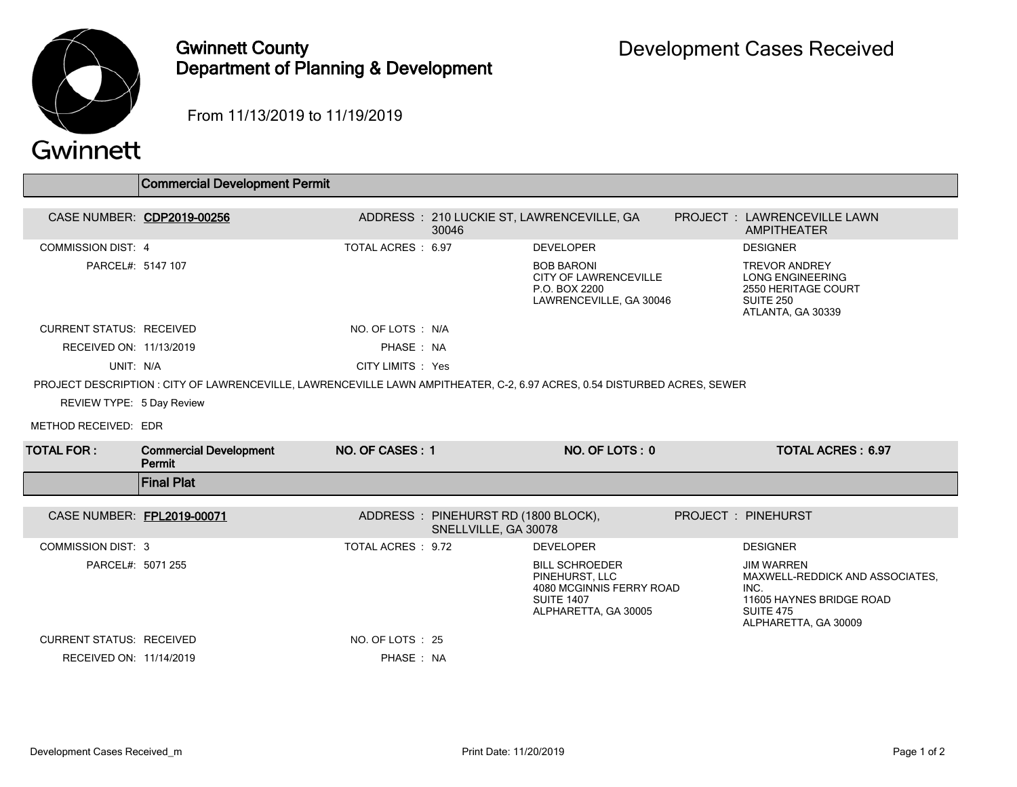

## Gwinnett County Department of Planning & Development

From 11/13/2019 to 11/19/2019

|                                 | <b>Commercial Development Permit</b>                                                                                      |                    |                                                             |                                                                                                                  |  |                                                                                                                                      |  |
|---------------------------------|---------------------------------------------------------------------------------------------------------------------------|--------------------|-------------------------------------------------------------|------------------------------------------------------------------------------------------------------------------|--|--------------------------------------------------------------------------------------------------------------------------------------|--|
|                                 |                                                                                                                           |                    |                                                             |                                                                                                                  |  |                                                                                                                                      |  |
|                                 | CASE NUMBER: CDP2019-00256                                                                                                |                    | 30046                                                       | ADDRESS: 210 LUCKIE ST, LAWRENCEVILLE, GA                                                                        |  | PROJECT : LAWRENCEVILLE LAWN<br><b>AMPITHEATER</b>                                                                                   |  |
| <b>COMMISSION DIST: 4</b>       |                                                                                                                           | TOTAL ACRES: 6.97  |                                                             | <b>DEVELOPER</b>                                                                                                 |  | <b>DESIGNER</b>                                                                                                                      |  |
| PARCEL#: 5147 107               |                                                                                                                           |                    |                                                             | <b>BOB BARONI</b><br><b>CITY OF LAWRENCEVILLE</b><br>P.O. BOX 2200<br>LAWRENCEVILLE, GA 30046                    |  | <b>TREVOR ANDREY</b><br><b>LONG ENGINEERING</b><br>2550 HERITAGE COURT<br><b>SUITE 250</b><br>ATLANTA, GA 30339                      |  |
| <b>CURRENT STATUS: RECEIVED</b> |                                                                                                                           | NO. OF LOTS : N/A  |                                                             |                                                                                                                  |  |                                                                                                                                      |  |
| RECEIVED ON: 11/13/2019         |                                                                                                                           | PHASE: NA          |                                                             |                                                                                                                  |  |                                                                                                                                      |  |
| UNIT: N/A                       |                                                                                                                           | CITY LIMITS : Yes  |                                                             |                                                                                                                  |  |                                                                                                                                      |  |
|                                 | PROJECT DESCRIPTION : CITY OF LAWRENCEVILLE, LAWRENCEVILLE LAWN AMPITHEATER, C-2, 6.97 ACRES, 0.54 DISTURBED ACRES, SEWER |                    |                                                             |                                                                                                                  |  |                                                                                                                                      |  |
| REVIEW TYPE: 5 Day Review       |                                                                                                                           |                    |                                                             |                                                                                                                  |  |                                                                                                                                      |  |
| METHOD RECEIVED: EDR            |                                                                                                                           |                    |                                                             |                                                                                                                  |  |                                                                                                                                      |  |
| <b>TOTAL FOR :</b>              | <b>Commercial Development</b><br>Permit                                                                                   | NO. OF CASES: 1    |                                                             | NO. OF LOTS: 0                                                                                                   |  | <b>TOTAL ACRES: 6.97</b>                                                                                                             |  |
|                                 | <b>Final Plat</b>                                                                                                         |                    |                                                             |                                                                                                                  |  |                                                                                                                                      |  |
|                                 |                                                                                                                           |                    |                                                             |                                                                                                                  |  |                                                                                                                                      |  |
| CASE NUMBER: FPL2019-00071      |                                                                                                                           |                    | ADDRESS: PINEHURST RD (1800 BLOCK),<br>SNELLVILLE, GA 30078 |                                                                                                                  |  | PROJECT : PINEHURST                                                                                                                  |  |
| <b>COMMISSION DIST: 3</b>       |                                                                                                                           | TOTAL ACRES : 9.72 |                                                             | <b>DEVELOPER</b>                                                                                                 |  | <b>DESIGNER</b>                                                                                                                      |  |
| PARCEL#: 5071 255               |                                                                                                                           |                    |                                                             | <b>BILL SCHROEDER</b><br>PINEHURST, LLC<br>4080 MCGINNIS FERRY ROAD<br><b>SUITE 1407</b><br>ALPHARETTA, GA 30005 |  | <b>JIM WARREN</b><br>MAXWELL-REDDICK AND ASSOCIATES.<br>INC.<br>11605 HAYNES BRIDGE ROAD<br><b>SUITE 475</b><br>ALPHARETTA, GA 30009 |  |
| <b>CURRENT STATUS: RECEIVED</b> |                                                                                                                           | NO. OF LOTS : 25   |                                                             |                                                                                                                  |  |                                                                                                                                      |  |
| RECEIVED ON: 11/14/2019         |                                                                                                                           | PHASE: NA          |                                                             |                                                                                                                  |  |                                                                                                                                      |  |